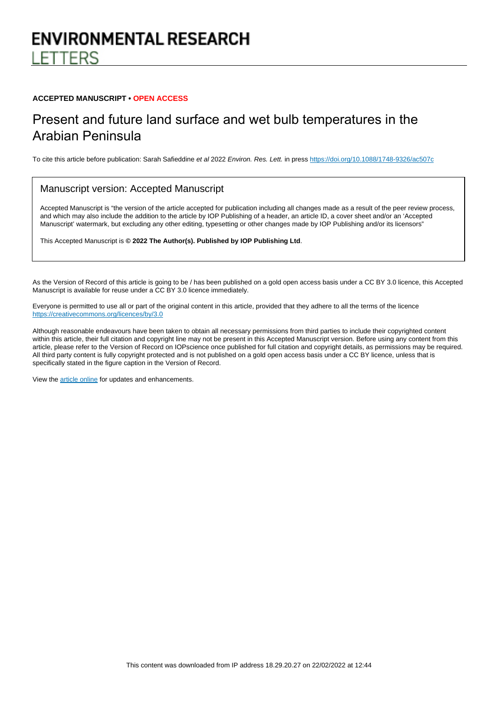# **ENVIRONMENTAL RESEARCH FTTFRS**

#### **ACCEPTED MANUSCRIPT • OPEN ACCESS**

# Present and future land surface and wet bulb temperatures in the Arabian Peninsula

To cite this article before publication: Sarah Safieddine et al 2022 Environ. Res. Lett. in press <https://doi.org/10.1088/1748-9326/ac507c>

#### Manuscript version: Accepted Manuscript

Accepted Manuscript is "the version of the article accepted for publication including all changes made as a result of the peer review process, and which may also include the addition to the article by IOP Publishing of a header, an article ID, a cover sheet and/or an 'Accepted Manuscript' watermark, but excluding any other editing, typesetting or other changes made by IOP Publishing and/or its licensors"

This Accepted Manuscript is **© 2022 The Author(s). Published by IOP Publishing Ltd**.

As the Version of Record of this article is going to be / has been published on a gold open access basis under a CC BY 3.0 licence, this Accepted Manuscript is available for reuse under a CC BY 3.0 licence immediately.

Everyone is permitted to use all or part of the original content in this article, provided that they adhere to all the terms of the licence <https://creativecommons.org/licences/by/3.0>

Although reasonable endeavours have been taken to obtain all necessary permissions from third parties to include their copyrighted content within this article, their full citation and copyright line may not be present in this Accepted Manuscript version. Before using any content from this article, please refer to the Version of Record on IOPscience once published for full citation and copyright details, as permissions may be required. All third party content is fully copyright protected and is not published on a gold open access basis under a CC BY licence, unless that is specifically stated in the figure caption in the Version of Record.

View the [article online](https://doi.org/10.1088/1748-9326/ac507c) for updates and enhancements.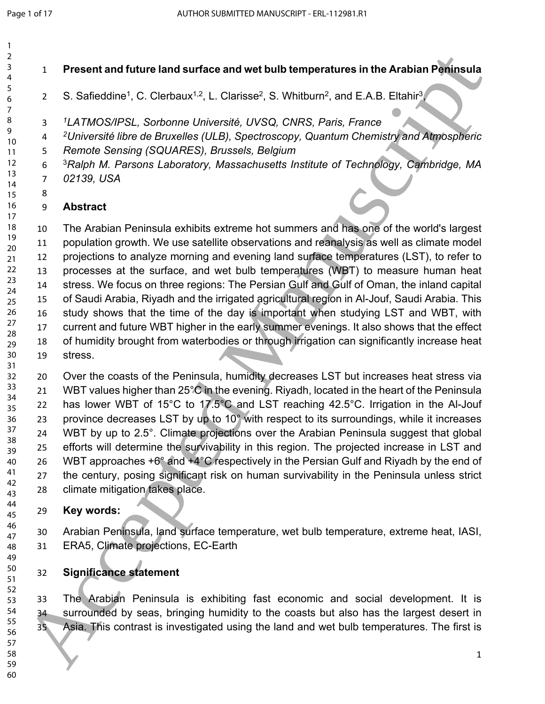> 

**Present and future land surface and wet bulb temperatures in the Arabian Peninsula** 

- 2 S. Safieddine<sup>1</sup>, C. Clerbaux<sup>1,2</sup>, L. Clarisse<sup>2</sup>, S. Whitburn<sup>2</sup>, and E.A.B. Eltahir<sup>3</sup>,
- *LATMOS/IPSL, Sorbonne Université, UVSQ, CNRS, Paris, France*
- *Université libre de Bruxelles (ULB), Spectroscopy, Quantum Chemistry and Atmospheric*
- *Remote Sensing (SQUARES), Brussels, Belgium* 
	- *Ralph M. Parsons Laboratory, Massachusetts Institute of Technology, Cambridge, MA 02139, USA*
- 

### **Abstract**

 The Arabian Peninsula exhibits extreme hot summers and has one of the world's largest population growth. We use satellite observations and reanalysis as well as climate model projections to analyze morning and evening land surface temperatures (LST), to refer to processes at the surface, and wet bulb temperatures (WBT) to measure human heat stress. We focus on three regions: The Persian Gulf and Gulf of Oman, the inland capital of Saudi Arabia, Riyadh and the irrigated agricultural region in Al-Jouf, Saudi Arabia. This study shows that the time of the day is important when studying LST and WBT, with current and future WBT higher in the early summer evenings. It also shows that the effect of humidity brought from waterbodies or through irrigation can significantly increase heat stress. 19<br>
19 Present and future land surface and wet bulb temperatures in the Arablan Peninsula<br>
28 S. Safieddine", C. Clerbaux<sup>12</sup>, L. Clerisse", S. Whitbum", and E.A.B. Ethatis<sup>2</sup><br>
19 A. V. There will be the Studies (ULS), Spe

 Over the coasts of the Peninsula, humidity decreases LST but increases heat stress via 21 WBT values higher than 25°C in the evening. Riyadh, located in the heart of the Peninsula has lower WBT of 15°C to 17.5°C and LST reaching 42.5°C. Irrigation in the Al-Jouf 23 province decreases LST by up to 10° with respect to its surroundings, while it increases WBT by up to 2.5°. Climate projections over the Arabian Peninsula suggest that global efforts will determine the survivability in this region. The projected increase in LST and 26 WBT approaches  $+6^{\circ}$  and  $+4^{\circ}$ C respectively in the Persian Gulf and Riyadh by the end of 27 the century, posing significant risk on human survivability in the Peninsula unless strict climate mitigation takes place.

### **Key words:**

 Arabian Peninsula, land surface temperature, wet bulb temperature, extreme heat, IASI, ERA5, Climate projections, EC-Earth

**Significance statement**

 The Arabian Peninsula is exhibiting fast economic and social development. It is surrounded by seas, bringing humidity to the coasts but also has the largest desert in Asia. This contrast is investigated using the land and wet bulb temperatures. The first is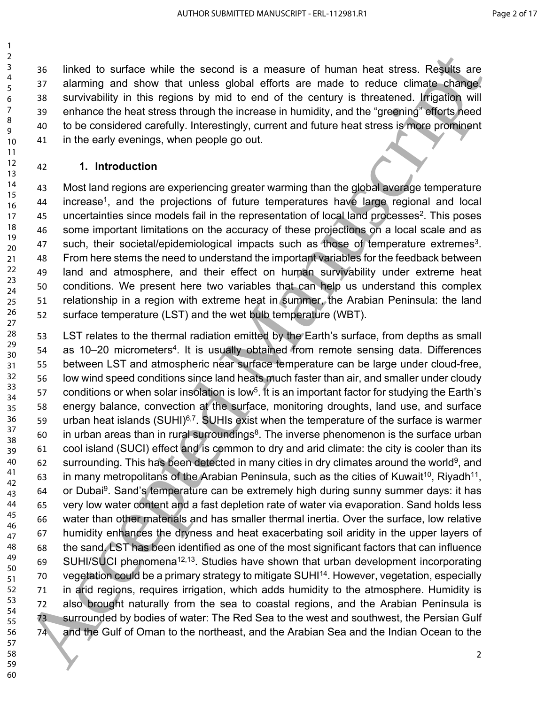linked to surface while the second is a measure of human heat stress. Results are alarming and show that unless global efforts are made to reduce climate change, survivability in this regions by mid to end of the century is threatened. Irrigation will enhance the heat stress through the increase in humidity, and the "greening" efforts need to be considered carefully. Interestingly, current and future heat stress is more prominent in the early evenings, when people go out.

#### **1. Introduction**

 Most land regions are experiencing greater warming than the global average temperature 44 increase<sup>1</sup>, and the projections of future temperatures have large regional and local 45 uncertainties since models fail in the representation of local land processes<sup>2</sup>. This poses some important limitations on the accuracy of these projections on a local scale and as 47 such, their societal/epidemiological impacts such as those of temperature extremes<sup>3</sup>. From here stems the need to understand the important variables for the feedback between land and atmosphere, and their effect on human survivability under extreme heat conditions. We present here two variables that can help us understand this complex relationship in a region with extreme heat in summer, the Arabian Peninsula: the land surface temperature (LST) and the wet bulb temperature (WBT). 

 LST relates to the thermal radiation emitted by the Earth's surface, from depths as small 54 as 10–20 micrometers<sup>4</sup>. It is usually obtained from remote sensing data. Differences between LST and atmospheric near surface temperature can be large under cloud-free, low wind speed conditions since land heats much faster than air, and smaller under cloudy 57 conditions or when solar insolation is low<sup>5</sup>. It is an important factor for studying the Earth's energy balance, convection at the surface, monitoring droughts, land use, and surface 59 urban heat islands (SUHI)<sup>6,7</sup>. SUHIs exist when the temperature of the surface is warmer in urban areas than in rural surroundings<sup>8</sup>. The inverse phenomenon is the surface urban cool island (SUCI) effect and is common to dry and arid climate: the city is cooler than its 62 surrounding. This has been detected in many cities in dry climates around the world<sup>9</sup>, and 63 in many metropolitans of the Arabian Peninsula, such as the cities of Kuwait<sup>10</sup>, Riyadh<sup>11</sup>, 64 or Dubai<sup>9</sup>. Sand's temperature can be extremely high during sunny summer days: it has very low water content and a fast depletion rate of water via evaporation. Sand holds less water than other materials and has smaller thermal inertia. Over the surface, low relative humidity enhances the dryness and heat exacerbating soil aridity in the upper layers of the sand. LST has been identified as one of the most significant factors that can influence SUHI/SUCI phenomena12,13. Studies have shown that urban development incorporating 70 vegetation could be a primary strategy to mitigate SUHI<sup>14</sup>. However, vegetation, especially in arid regions, requires irrigation, which adds humidity to the atmosphere. Humidity is also brought naturally from the sea to coastal regions, and the Arabian Peninsula is surrounded by bodies of water: The Red Sea to the west and southwest, the Persian Gulf and the Gulf of Oman to the northeast, and the Arabian Sea and the Indian Ocean to the 36 Sinked to surface while the second is a measure of human heat stress. Regulae a<br>
5 So survivading in this regions by mid to end of the century is intelleating a correspondent<br>
4 So survivading in this regions by mid to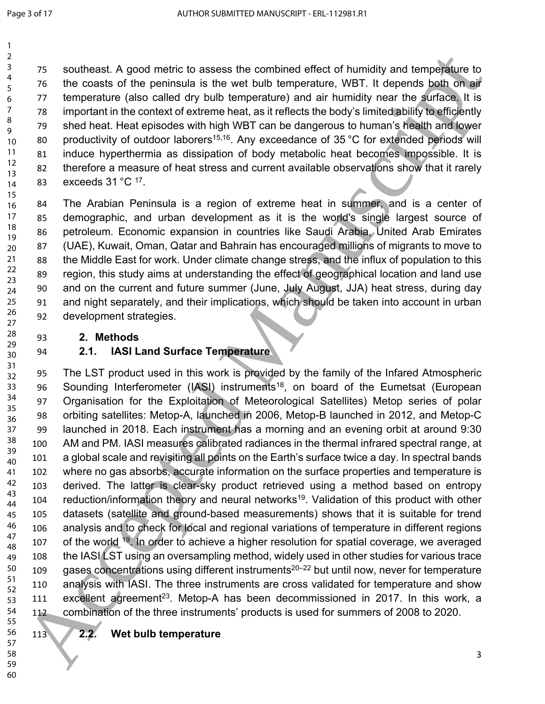- southeast. A good metric to assess the combined effect of humidity and temperature to the coasts of the peninsula is the wet bulb temperature, WBT. It depends both on air temperature (also called dry bulb temperature) and air humidity near the surface. It is important in the context of extreme heat, as it reflects the body's limited ability to efficiently shed heat. Heat episodes with high WBT can be dangerous to human's health and lower 80 productivity of outdoor laborers<sup>15,16</sup>. Any exceedance of 35 °C for extended periods will induce hyperthermia as dissipation of body metabolic heat becomes impossible. It is therefore a measure of heat stress and current available observations show that it rarely 83 exceeds  $31^{\circ}$ C  $^{17}$ .
- The Arabian Peninsula is a region of extreme heat in summer, and is a center of demographic, and urban development as it is the world's single largest source of petroleum. Economic expansion in countries like Saudi Arabia, United Arab Emirates (UAE), Kuwait, Oman, Qatar and Bahrain has encouraged millions of migrants to move to the Middle East for work. Under climate change stress, and the influx of population to this region, this study aims at understanding the effect of geographical location and land use and on the current and future summer (June, July August, JJA) heat stress, during day and night separately, and their implications, which should be taken into account in urban development strategies.
	- **2. Methods**

## **2.1. IASI Land Surface Temperature**

 The LST product used in this work is provided by the family of the Infared Atmospheric 96 Sounding Interferometer (IASI) instruments<sup>18</sup>, on board of the Eumetsat (European Organisation for the Exploitation of Meteorological Satellites) Metop series of polar orbiting satellites: Metop-A, launched in 2006, Metop-B launched in 2012, and Metop-C launched in 2018. Each instrument has a morning and an evening orbit at around 9:30 AM and PM. IASI measures calibrated radiances in the thermal infrared spectral range, at a global scale and revisiting all points on the Earth's surface twice a day. In spectral bands where no gas absorbs, accurate information on the surface properties and temperature is derived. The latter is clear-sky product retrieved using a method based on entropy 104 reduction/information theory and neural networks<sup>19</sup>. Validation of this product with other datasets (satellite and ground-based measurements) shows that it is suitable for trend analysis and to check for local and regional variations of temperature in different regions 107 of the world <sup>19</sup>. In order to achieve a higher resolution for spatial coverage, we averaged 108 the IASI LST using an oversampling method, widely used in other studies for various trace 109 gases concentrations using different instruments<sup>20–22</sup> but until now, never for temperature analysis with IASI. The three instruments are cross validated for temperature and show 111 excellent agreement<sup>23</sup>. Metop-A has been decommissioned in 2017. In this work, a combination of the three instruments' products is used for summers of 2008 to 2020. 75 southeast. A good metric to assess the combined effect of humidity and temperature pro<br>
For coasts of the pennisula is the web but) temperature, WBT. It depends both of many<br>
For coasts of the pennisula is the web but)

- 
- 

  **2.2. Wet bulb temperature**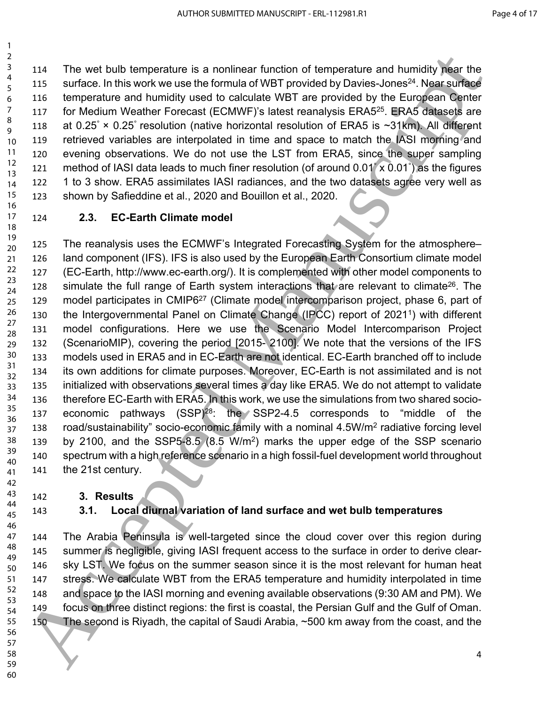The wet bulb temperature is a nonlinear function of temperature and humidity near the 115 surface. In this work we use the formula of WBT provided by Davies-Jones<sup>24</sup>. Near surface temperature and humidity used to calculate WBT are provided by the European Center 117 for Medium Weather Forecast (ECMWF)'s latest reanalysis ERA5<sup>25</sup>. ERA5 datasets are 118 at 0.25° × 0.25° resolution (native horizontal resolution of ERA5 is ~31km). All different retrieved variables are interpolated in time and space to match the IASI morning and evening observations. We do not use the LST from ERA5, since the super sampling 121 method of IASI data leads to much finer resolution (of around  $0.01^{\circ} \times 0.01^{\circ}$ ) as the figures 1 to 3 show. ERA5 assimilates IASI radiances, and the two datasets agree very well as shown by Safieddine et al., 2020 and Bouillon et al., 2020. 

 

**2.3. EC-Earth Climate model**

 The reanalysis uses the ECMWF's Integrated Forecasting System for the atmosphere– land component (IFS). IFS is also used by the European Earth Consortium climate model (EC-Earth, http://www.ec-earth.org/). It is complemented with other model components to 128 simulate the full range of Earth system interactions that are relevant to climate<sup>26</sup>. The model participates in CMIP6<sup>27</sup> (Climate model intercomparison project, phase 6, part of the Intergovernmental Panel on Climate Change (IPCC) report of 2021<sup>1</sup> ) with different model configurations. Here we use the Scenario Model Intercomparison Project (ScenarioMIP), covering the period [2015- 2100]. We note that the versions of the IFS models used in ERA5 and in EC-Earth are not identical. EC-Earth branched off to include its own additions for climate purposes. Moreover, EC-Earth is not assimilated and is not initialized with observations several times a day like ERA5. We do not attempt to validate therefore EC-Earth with ERA5. In this work, we use the simulations from two shared socio- economic pathways (SSP)<sup>28</sup>: the SSP2-4.5 corresponds to "middle of the 138 road/sustainability" socio-economic family with a nominal 4.5W/m<sup>2</sup> radiative forcing level by 2100, and the SSP5-8.5 (8.5 W/m<sup>2</sup> ) marks the upper edge of the SSP scenario spectrum with a high reference scenario in a high fossil-fuel development world throughout the 21st century. 3<br>  $\frac{3}{2}$  114 The we hould temperature is a nonlinear function of temperature and humidity hear the systems in the systems in the form of the form of the systems of the systems of the systems in the systems of the syst

#### **3. Results**

# **3.1. Local diurnal variation of land surface and wet bulb temperatures**

 The Arabia Peninsula is well-targeted since the cloud cover over this region during summer is negligible, giving IASI frequent access to the surface in order to derive clear- sky LST. We focus on the summer season since it is the most relevant for human heat stress. We calculate WBT from the ERA5 temperature and humidity interpolated in time and space to the IASI morning and evening available observations (9:30 AM and PM). We focus on three distinct regions: the first is coastal, the Persian Gulf and the Gulf of Oman. The second is Riyadh, the capital of Saudi Arabia, ~500 km away from the coast, and the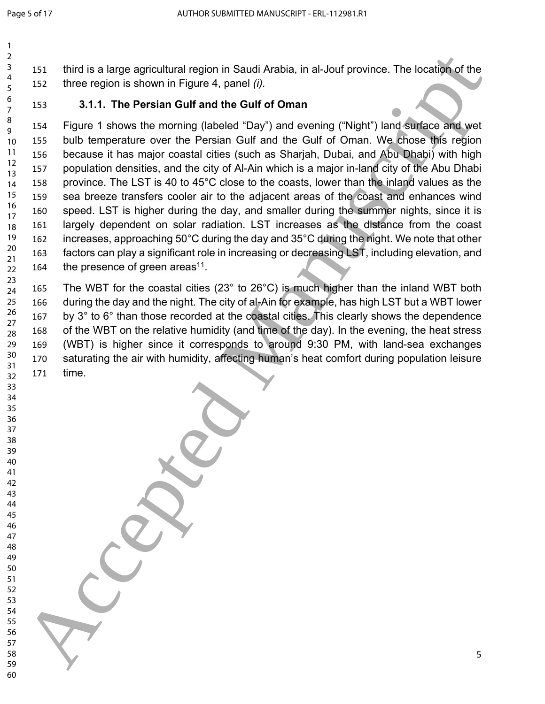third is a large agricultural region in Saudi Arabia, in al-Jouf province. The location of the three region is shown in Figure 4, panel *(i).* 

 

### **3.1.1. The Persian Gulf and the Gulf of Oman**

 Figure 1 shows the morning (labeled "Day") and evening ("Night") land surface and wet bulb temperature over the Persian Gulf and the Gulf of Oman. We chose this region because it has major coastal cities (such as Sharjah, Dubai, and Abu Dhabi) with high population densities, and the city of Al-Ain which is a major in-land city of the Abu Dhabi province. The LST is 40 to 45°C close to the coasts, lower than the inland values as the sea breeze transfers cooler air to the adjacent areas of the coast and enhances wind speed. LST is higher during the day, and smaller during the summer nights, since it is largely dependent on solar radiation. LST increases as the distance from the coast increases, approaching 50°C during the day and 35°C during the night. We note that other factors can play a significant role in increasing or decreasing LST, including elevation, and 164 the presence of green areas<sup>11</sup>. 2<br>
1931 third is a large agricultural region in Saudi Arabia, in al-Jouf province. The location of the<br>
5 Accepted Manuscript is the Persian Gulf and the Gulf of Oman<br>
1931 tst. Figure 1 shows the moming (abseled Tay) and

 The WBT for the coastal cities (23° to 26°C) is much higher than the inland WBT both during the day and the night. The city of al-Ain for example, has high LST but a WBT lower by 3° to 6° than those recorded at the coastal cities. This clearly shows the dependence of the WBT on the relative humidity (and time of the day). In the evening, the heat stress (WBT) is higher since it corresponds to around 9:30 PM, with land-sea exchanges saturating the air with humidity, affecting human's heat comfort during population leisure time.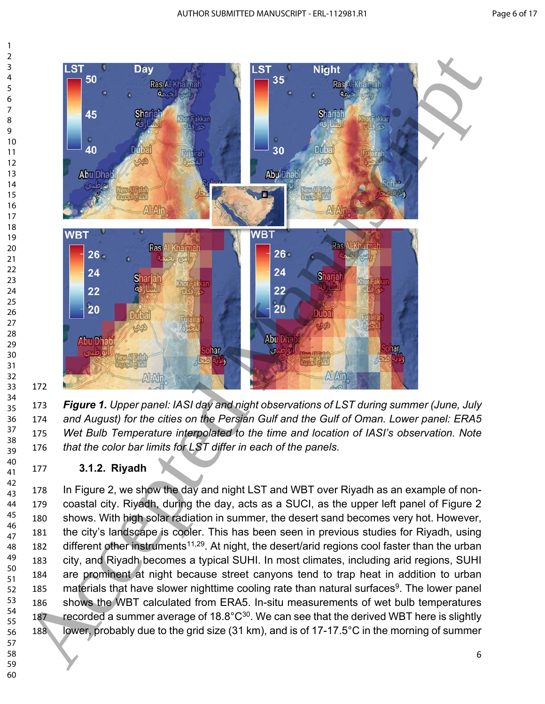

 *Figure 1. Upper panel: IASI day and night observations of LST during summer (June, July and August) for the cities on the Persian Gulf and the Gulf of Oman. Lower panel: ERA5 Wet Bulb Temperature interpolated to the time and location of IASI's observation. Note that the color bar limits for LST differ in each of the panels.* 

**3.1.2. Riyadh** 

 In Figure 2, we show the day and night LST and WBT over Riyadh as an example of non- coastal city. Riyadh, during the day, acts as a SUCI, as the upper left panel of Figure 2 shows. With high solar radiation in summer, the desert sand becomes very hot. However, the city's landscape is cooler. This has been seen in previous studies for Riyadh, using 182 different other instruments<sup>11,29</sup>. At night, the desert/arid regions cool faster than the urban city, and Riyadh becomes a typical SUHI. In most climates, including arid regions, SUHI are prominent at night because street canyons tend to trap heat in addition to urban 185 materials that have slower nighttime cooling rate than natural surfaces<sup>9</sup>. The lower panel shows the WBT calculated from ERA5. In-situ measurements of wet bulb temperatures 187 recorded a summer average of  $18.8^{\circ}C^{30}$ . We can see that the derived WBT here is slightly lower, probably due to the grid size (31 km), and is of 17-17.5°C in the morning of summer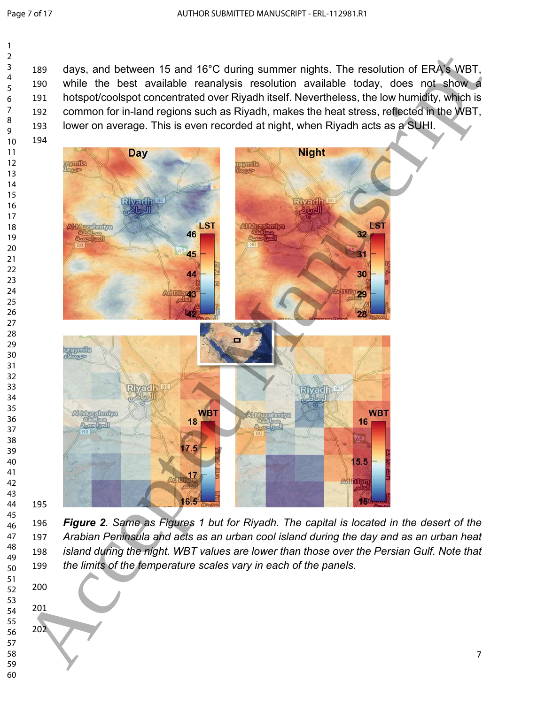days, and between 15 and 16°C during summer nights. The resolution of ERA's WBT, while the best available reanalysis resolution available today, does not show a hotspot/coolspot concentrated over Riyadh itself. Nevertheless, the low humidity, which is common for in-land regions such as Riyadh, makes the heat stress, reflected in the WBT, 193 lower on average. This is even recorded at night, when Riyadh acts as a SUHI. 



 

 *Figure 2. Same as Figures 1 but for Riyadh. The capital is located in the desert of the Arabian Peninsula and acts as an urban cool island during the day and as an urban heat island during the night. WBT values are lower than those over the Persian Gulf. Note that the limits of the temperature scales vary in each of the panels.*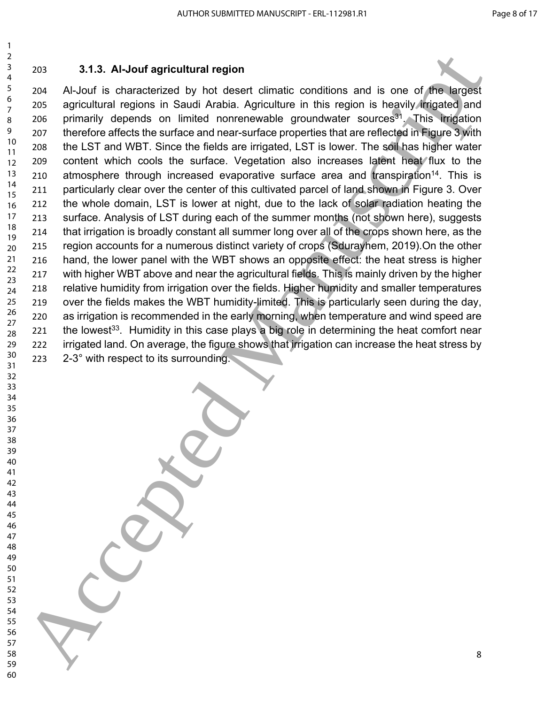### **3.1.3. Al-Jouf agricultural region**

 Al-Jouf is characterized by hot desert climatic conditions and is one of the largest agricultural regions in Saudi Arabia. Agriculture in this region is heavily irrigated and 206 primarily depends on limited nonrenewable groundwater sources<sup>31</sup>. This irrigation therefore affects the surface and near-surface properties that are reflected in Figure 3 with the LST and WBT. Since the fields are irrigated, LST is lower. The soil has higher water 209 content which cools the surface. Vegetation also increases latent heat flux to the 210 atmosphere through increased evaporative surface area and transpiration<sup>14</sup>. This is particularly clear over the center of this cultivated parcel of land shown in Figure 3. Over 212 the whole domain, LST is lower at night, due to the lack of solar radiation heating the surface. Analysis of LST during each of the summer months (not shown here), suggests that irrigation is broadly constant all summer long over all of the crops shown here, as the region accounts for a numerous distinct variety of crops (Sdurayhem, 2019).On the other hand, the lower panel with the WBT shows an opposite effect: the heat stress is higher 217 with higher WBT above and near the agricultural fields. This is mainly driven by the higher relative humidity from irrigation over the fields. Higher humidity and smaller temperatures over the fields makes the WBT humidity-limited. This is particularly seen during the day, as irrigation is recommended in the early morning, when temperature and wind speed are 221 the lowest<sup>33</sup>. Humidity in this case plays a big role in determining the heat comfort near irrigated land. On average, the figure shows that irrigation can increase the heat stress by 2-3° with respect to its surrounding. 3 <br>  $3.4$  Al-Jour agricultural region<br>
5  $203$ <br>  $4/3.6$  Al-Jour agricultural region by the describent chimatic conditions and is one of  $\sqrt{r}$  large method<br>
6  $\frac{203}{2}$  was approximately depends to initiate of ori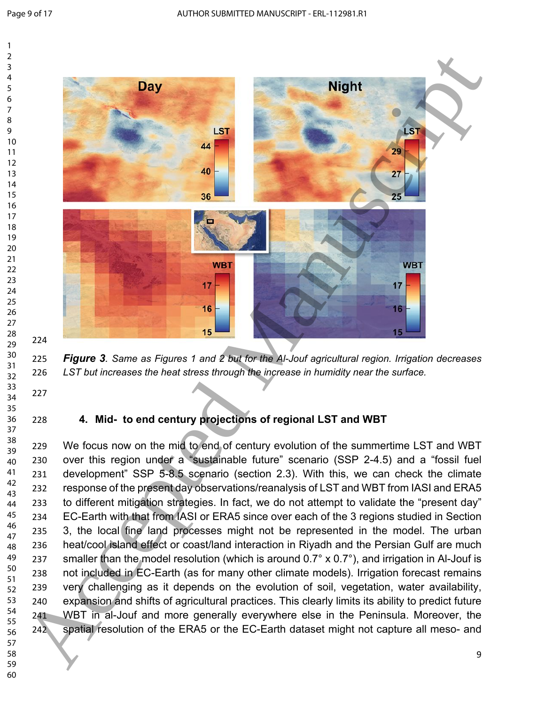

 *Figure 3. Same as Figures 1 and 2 but for the Al-Jouf agricultural region. Irrigation decreases LST but increases the heat stress through the increase in humidity near the surface.*

#### **4. Mid- to end century projections of regional LST and WBT**

229 We focus now on the mid to end of century evolution of the summertime LST and WBT over this region under a "sustainable future" scenario (SSP 2-4.5) and a "fossil fuel development" SSP 5-8.5 scenario (section 2.3). With this, we can check the climate response of the present day observations/reanalysis of LST and WBT from IASI and ERA5 to different mitigation strategies. In fact, we do not attempt to validate the "present day" EC-Earth with that from IASI or ERA5 since over each of the 3 regions studied in Section 3, the local fine land processes might not be represented in the model. The urban heat/cool island effect or coast/land interaction in Riyadh and the Persian Gulf are much 237 smaller than the model resolution (which is around  $0.7^\circ \times 0.7^\circ$ ), and irrigation in Al-Jouf is not included in EC-Earth (as for many other climate models). Irrigation forecast remains very challenging as it depends on the evolution of soil, vegetation, water availability, expansion and shifts of agricultural practices. This clearly limits its ability to predict future WBT in al-Jouf and more generally everywhere else in the Peninsula. Moreover, the spatial resolution of the ERA5 or the EC-Earth dataset might not capture all meso- and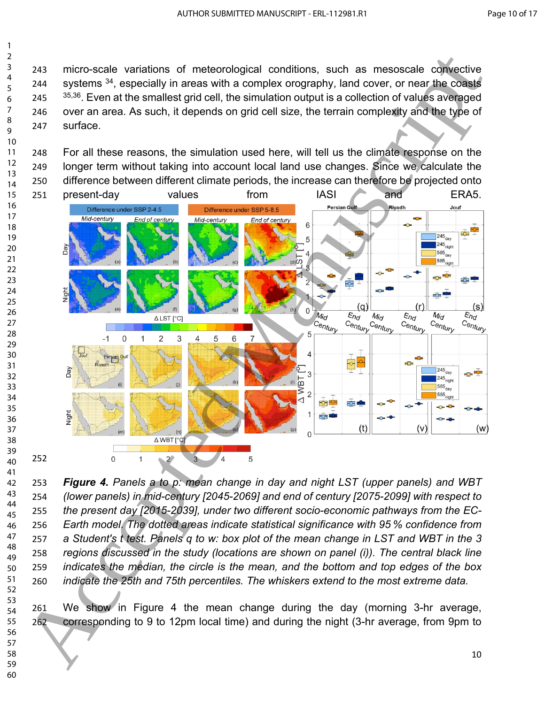micro-scale variations of meteorological conditions, such as mesoscale convective 244 systems <sup>34</sup>, especially in areas with a complex orography, land cover, or near the coasts  $35,36$ . Even at the smallest grid cell, the simulation output is a collection of values averaged over an area. As such, it depends on grid cell size, the terrain complexity and the type of surface.

 For all these reasons, the simulation used here, will tell us the climate response on the longer term without taking into account local land use changes. Since we calculate the difference between different climate periods, the increase can therefore be projected onto



 *Figure 4. Panels a to p: mean change in day and night LST (upper panels) and WBT (lower panels) in mid-century [2045-2069] and end of century [2075-2099] with respect to the present day [2015-2039], under two different socio-economic pathways from the EC- Earth model. The dotted areas indicate statistical significance with 95 % confidence from a Student's t test. Panels q to w: box plot of the mean change in LST and WBT in the 3 regions discussed in the study (locations are shown on panel (i)). The central black line indicates the median, the circle is the mean, and the bottom and top edges of the box indicate the 25th and 75th percentiles. The whiskers extend to the most extreme data.* 

 

 We show in Figure 4 the mean change during the day (morning 3-hr average, corresponding to 9 to 12pm local time) and during the night (3-hr average, from 9pm to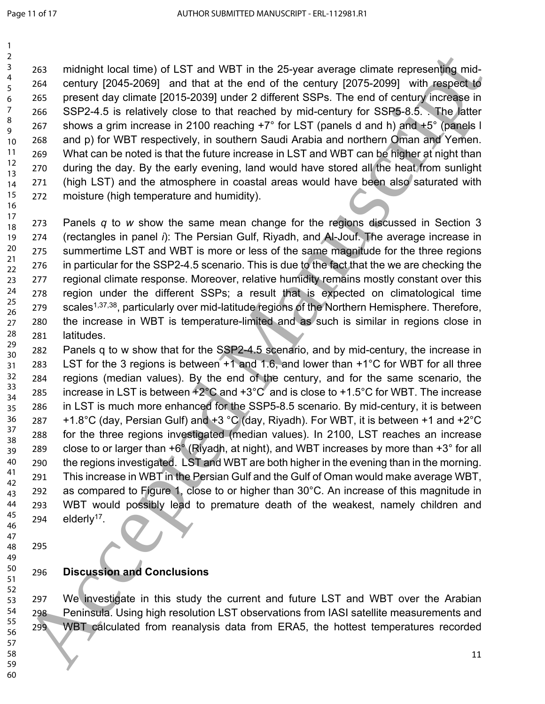midnight local time) of LST and WBT in the 25-year average climate representing mid- century [2045-2069] and that at the end of the century [2075-2099] with respect to present day climate [2015-2039] under 2 different SSPs. The end of century increase in SSP2-4.5 is relatively close to that reached by mid-century for SSP5-8.5. . The latter 267 shows a grim increase in 2100 reaching  $+7^{\circ}$  for LST (panels d and h) and  $+5^{\circ}$  (panels I and p) for WBT respectively, in southern Saudi Arabia and northern Oman and Yemen. What can be noted is that the future increase in LST and WBT can be higher at night than during the day. By the early evening, land would have stored all the heat from sunlight 271 (high LST) and the atmosphere in coastal areas would have been also saturated with moisture (high temperature and humidity). 

 Panels *q* to *w* show the same mean change for the regions discussed in Section 3 (rectangles in panel *i*): The Persian Gulf, Riyadh, and Al-Jouf. The average increase in summertime LST and WBT is more or less of the same magnitude for the three regions in particular for the SSP2-4.5 scenario. This is due to the fact that the we are checking the regional climate response. Moreover, relative humidity remains mostly constant over this region under the different SSPs; a result that is expected on climatological time 279 scales<sup>1,37,38</sup>, particularly over mid-latitude regions of the Northern Hemisphere. Therefore, the increase in WBT is temperature-limited and as such is similar in regions close in latitudes. 

 Panels q to w show that for the SSP2-4.5 scenario, and by mid-century, the increase in LST for the 3 regions is between +1 and 1.6, and lower than +1°C for WBT for all three regions (median values). By the end of the century, and for the same scenario, the 285 increase in LST is between  $+2^{\circ}$ C and  $+3^{\circ}$ C and is close to  $+1.5^{\circ}$ C for WBT. The increase in LST is much more enhanced for the SSP5-8.5 scenario. By mid-century, it is between 287  $+1.8^{\circ}$ C (day, Persian Gulf) and  $+3^{\circ}$ C (day, Riyadh). For WBT, it is between  $+1$  and  $+2^{\circ}$ C for the three regions investigated (median values). In 2100, LST reaches an increase 289 close to or larger than  $+6^{\circ}$  (Riyadh, at night), and WBT increases by more than  $+3^{\circ}$  for all the regions investigated. LST and WBT are both higher in the evening than in the morning. This increase in WBT in the Persian Gulf and the Gulf of Oman would make average WBT, as compared to Figure 1, close to or higher than 30°C. An increase of this magnitude in WBT would possibly lead to premature death of the weakest, namely children and 294 elderly<sup>17</sup>. 26 Accepted Manuscript Incel Street Wifi in the 25 year average climate representing mid-<br>
5 Access century [2004-2008] and that at the end of the century [2007-2008] with respectively<br>
6 Access SSP-2-4.5 a realisation den

 

#### **Discussion and Conclusions**

 We investigate in this study the current and future LST and WBT over the Arabian Peninsula. Using high resolution LST observations from IASI satellite measurements and WBT calculated from reanalysis data from ERA5, the hottest temperatures recorded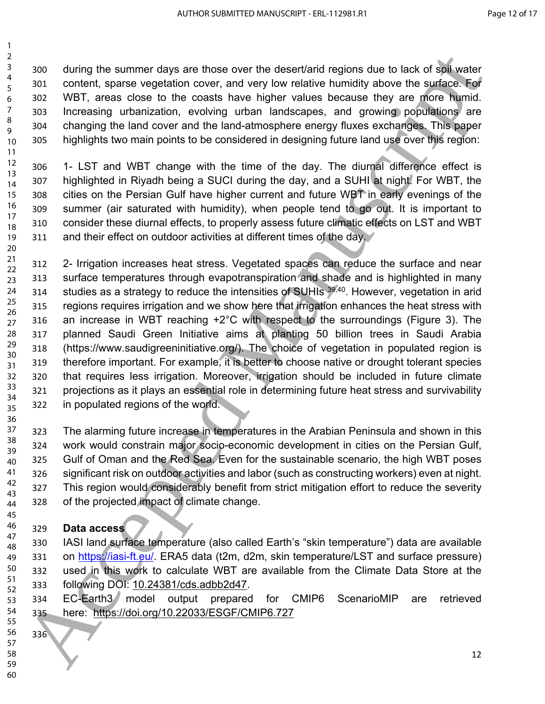during the summer days are those over the desert/arid regions due to lack of soil water content, sparse vegetation cover, and very low relative humidity above the surface. For WBT, areas close to the coasts have higher values because they are more humid. Increasing urbanization, evolving urban landscapes, and growing populations are changing the land cover and the land-atmosphere energy fluxes exchanges. This paper highlights two main points to be considered in designing future land use over this region: 

 1- LST and WBT change with the time of the day. The diurnal difference effect is 307 highlighted in Riyadh being a SUCI during the day, and a SUHI at night. For WBT, the cities on the Persian Gulf have higher current and future WBT in early evenings of the summer (air saturated with humidity), when people tend to go out. It is important to consider these diurnal effects, to properly assess future climatic effects on LST and WBT 311 and their effect on outdoor activities at different times of the day. 

 2- Irrigation increases heat stress. Vegetated spaces can reduce the surface and near surface temperatures through evapotranspiration and shade and is highlighted in many 314 studies as a strategy to reduce the intensities of SUHIs <sup>39,40</sup>. However, vegetation in arid 315 regions requires irrigation and we show here that irrigation enhances the heat stress with an increase in WBT reaching +2°C with respect to the surroundings (Figure 3). The planned Saudi Green Initiative aims at planting 50 billion trees in Saudi Arabia (https://www.saudigreeninitiative.org/). The choice of vegetation in populated region is therefore important. For example, it is better to choose native or drought tolerant species that requires less irrigation. Moreover, irrigation should be included in future climate projections as it plays an essential role in determining future heat stress and survivability in populated regions of the world. 30 ac[ce](https://iasi-ft.eu/)pts are those over the desertation depicts of the Constrainer of the Constrainer of the Constrainer of the Summary of the Summary of the Summary of the Summary of the Summary of the Summary of the Summary of the Su

 The alarming future increase in temperatures in the Arabian Peninsula and shown in this work would constrain major socio-economic development in cities on the Persian Gulf, Gulf of Oman and the Red Sea. Even for the sustainable scenario, the high WBT poses significant risk on outdoor activities and labor (such as constructing workers) even at night. This region would considerably benefit from strict mitigation effort to reduce the severity of the projected impact of climate change. 

#### **Data access**

 IASI land surface temperature (also called Earth's "skin temperature") data are available 331 on https://iasi-ft.eu/. ERA5 data (t2m, d2m, skin temperature/LST and surface pressure) used in this work to calculate WBT are available from the Climate Data Store at the following DOI: 10.24381/cds.adbb2d47. 

 EC-Earth3 model output prepared for CMIP6 ScenarioMIP are retrieved here: https://doi.org/10.22033/ESGF/CMIP6.727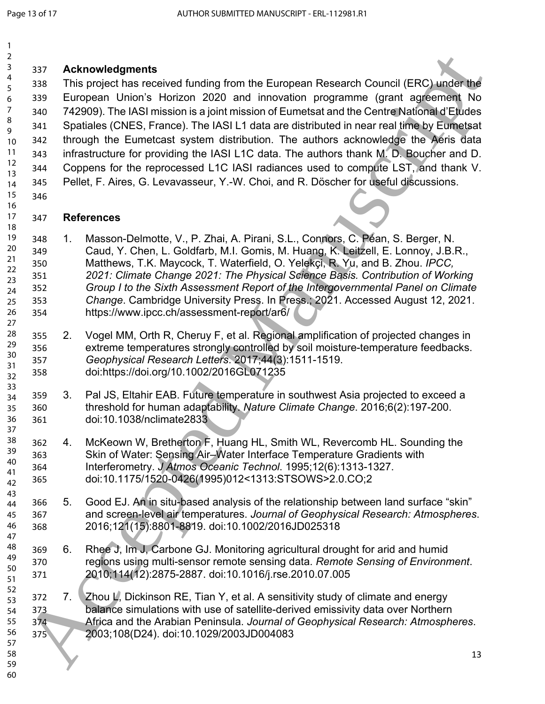#### **Acknowledgments**

338 This project has received funding from the European Research Council (ERC) under the European Union's Horizon 2020 and innovation programme (grant agreement No 742909). The IASI mission is a joint mission of Eumetsat and the Centre National d'Etudes Spatiales (CNES, France). The IASI L1 data are distributed in near real time by Eumetsat through the Eumetcast system distribution. The authors acknowledge the Aeris data infrastructure for providing the IASI L1C data. The authors thank M. D. Boucher and D. Coppens for the reprocessed L1C IASI radiances used to compute LST, and thank V. Pellet, F. Aires, G. Levavasseur, Y.-W. Choi, and R. Döscher for useful discussions. 38 Activowedgments<br>
188 Activities received funding from the European Research Council (ERC) undertugal<br>
188 Accepted Manuscription 2020 and innovation programme (grant agreement) to<br>
188 Accepted Manuscription 2020 and i

#### **References**

- 1. Masson-Delmotte, V., P. Zhai, A. Pirani, S.L., Connors, C. Péan, S. Berger, N. Caud, Y. Chen, L. Goldfarb, M.I. Gomis, M. Huang, K. Leitzell, E. Lonnoy, J.B.R., Matthews, T.K. Maycock, T. Waterfield, O. Yelekçi, R. Yu, and B. Zhou. *IPCC, 2021: Climate Change 2021: The Physical Science Basis. Contribution of Working Group I to the Sixth Assessment Report of the Intergovernmental Panel on Climate Change*. Cambridge University Press. In Press.; 2021. Accessed August 12, 2021. https://www.ipcc.ch/assessment-report/ar6/
- 2. Vogel MM, Orth R, Cheruy F, et al. Regional amplification of projected changes in extreme temperatures strongly controlled by soil moisture-temperature feedbacks. *Geophysical Research Letters*. 2017;44(3):1511-1519. doi:https://doi.org/10.1002/2016GL071235
- 3. Pal JS, Eltahir EAB. Future temperature in southwest Asia projected to exceed a threshold for human adaptability. *Nature Climate Change*. 2016;6(2):197-200. doi:10.1038/nclimate2833
- 4. McKeown W, Bretherton F, Huang HL, Smith WL, Revercomb HL. Sounding the Skin of Water: Sensing Air–Water Interface Temperature Gradients with Interferometry. *J Atmos Oceanic Technol*. 1995;12(6):1313-1327. doi:10.1175/1520-0426(1995)012<1313:STSOWS>2.0.CO;2
- 5. Good EJ. An in situ-based analysis of the relationship between land surface "skin" and screen-level air temperatures. *Journal of Geophysical Research: Atmospheres*. 2016;121(15):8801-8819. doi:10.1002/2016JD025318
- 6. Rhee J, Im J, Carbone GJ. Monitoring agricultural drought for arid and humid regions using multi-sensor remote sensing data. *Remote Sensing of Environment*. 2010;114(12):2875-2887. doi:10.1016/j.rse.2010.07.005
- 372 7. Zhou L, Dickinson RE, Tian Y, et al. A sensitivity study of climate and energy balance simulations with use of satellite-derived emissivity data over Northern Africa and the Arabian Peninsula. *Journal of Geophysical Research: Atmospheres*. 2003;108(D24). doi:10.1029/2003JD004083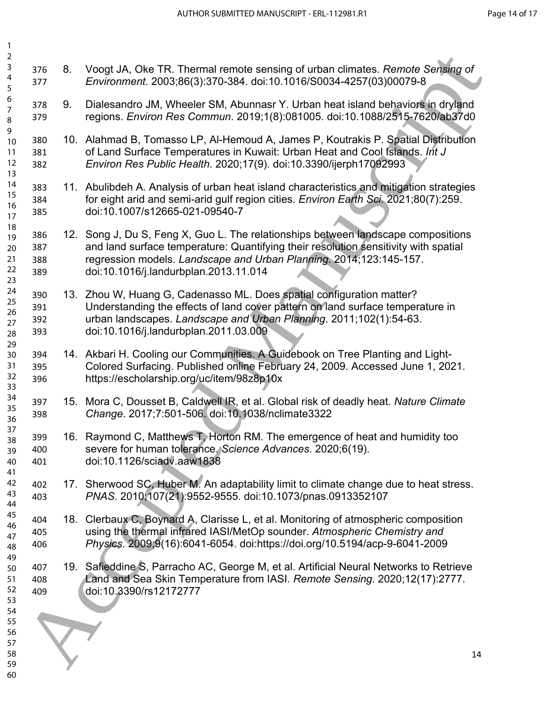| 376<br>377               | 8. | Voogt JA, Oke TR. Thermal remote sensing of urban climates. Remote Sensing of<br>Environment. 2003;86(3):370-384. doi:10.1016/S0034-4257(03)00079-8                                                                                       |                                                                                                                                                                                                                                                                                                                                                                                                                                                                                                                                                                                                                                          |
|--------------------------|----|-------------------------------------------------------------------------------------------------------------------------------------------------------------------------------------------------------------------------------------------|------------------------------------------------------------------------------------------------------------------------------------------------------------------------------------------------------------------------------------------------------------------------------------------------------------------------------------------------------------------------------------------------------------------------------------------------------------------------------------------------------------------------------------------------------------------------------------------------------------------------------------------|
| 378<br>379               | 9. | Dialesandro JM, Wheeler SM, Abunnasr Y. Urban heat island behaviors in dryland<br>regions. Environ Res Commun. 2019;1(8):081005. doi:10.1088/2515-7620/ab37d0                                                                             |                                                                                                                                                                                                                                                                                                                                                                                                                                                                                                                                                                                                                                          |
| 380<br>381<br>382        |    | of Land Surface Temperatures in Kuwait: Urban Heat and Cool Islands. Int J<br>Environ Res Public Health. 2020;17(9). doi:10.3390/ijerph17092993                                                                                           |                                                                                                                                                                                                                                                                                                                                                                                                                                                                                                                                                                                                                                          |
| 383<br>384<br>385        |    | for eight arid and semi-arid gulf region cities. Environ Earth Sci. 2021;80(7):259.<br>doi:10.1007/s12665-021-09540-7                                                                                                                     |                                                                                                                                                                                                                                                                                                                                                                                                                                                                                                                                                                                                                                          |
| 386<br>387<br>388<br>389 |    | and land surface temperature: Quantifying their resolution sensitivity with spatial<br>regression models. Landscape and Urban Planning. 2014;123:145-157.<br>doi:10.1016/j.landurbplan.2013.11.014                                        |                                                                                                                                                                                                                                                                                                                                                                                                                                                                                                                                                                                                                                          |
| 390<br>391<br>392<br>393 |    | Understanding the effects of land cover pattern on land surface temperature in<br>urban landscapes. Landscape and Urban Planning. 2011;102(1):54-63.<br>doi:10.1016/j.landurbplan.2011.03.009                                             |                                                                                                                                                                                                                                                                                                                                                                                                                                                                                                                                                                                                                                          |
| 394<br>395<br>396        |    | Colored Surfacing. Published online February 24, 2009. Accessed June 1, 2021.<br>https://escholarship.org/uc/item/98z8p10x                                                                                                                |                                                                                                                                                                                                                                                                                                                                                                                                                                                                                                                                                                                                                                          |
| 397<br>398               |    | Change. 2017;7:501-506. doi:10.1038/nclimate3322                                                                                                                                                                                          |                                                                                                                                                                                                                                                                                                                                                                                                                                                                                                                                                                                                                                          |
| 399<br>400<br>401        |    | severe for human tolerance. Science Advances. 2020;6(19).<br>doi:10.1126/sciadv.aaw1838                                                                                                                                                   |                                                                                                                                                                                                                                                                                                                                                                                                                                                                                                                                                                                                                                          |
| 402<br>403               |    | Sherwood SC, Huber M. An adaptability limit to climate change due to heat stress.<br>PNAS. 2010;107(21):9552-9555. doi:10.1073/pnas.0913352107                                                                                            |                                                                                                                                                                                                                                                                                                                                                                                                                                                                                                                                                                                                                                          |
| 404<br>405<br>406        |    | Clerbaux C, Boynard A, Clarisse L, et al. Monitoring of atmospheric composition<br>using the thermal infrared IASI/MetOp sounder. Atmospheric Chemistry and<br>Physics. 2009;9(16):6041-6054. doi:https://doi.org/10.5194/acp-9-6041-2009 |                                                                                                                                                                                                                                                                                                                                                                                                                                                                                                                                                                                                                                          |
| 407<br>408<br>409        |    | Safieddine S, Parracho AC, George M, et al. Artificial Neural Networks to Retrieve<br>Land and Sea Skin Temperature from IASI. Remote Sensing. 2020;12(17):2777.<br>doi:10.3390/rs12172777                                                |                                                                                                                                                                                                                                                                                                                                                                                                                                                                                                                                                                                                                                          |
|                          |    |                                                                                                                                                                                                                                           | 14                                                                                                                                                                                                                                                                                                                                                                                                                                                                                                                                                                                                                                       |
|                          |    |                                                                                                                                                                                                                                           | 10. Alahmad B, Tomasso LP, Al-Hemoud A, James P, Koutrakis P. Spatial Distribution<br>11. Abulibdeh A. Analysis of urban heat island characteristics and mitigation strategies<br>12. Song J, Du S, Feng X, Guo L. The relationships between landscape compositions<br>13. Zhou W, Huang G, Cadenasso ML. Does spatial configuration matter?<br>14. Akbari H. Cooling our Communities. A Guidebook on Tree Planting and Light-<br>15. Mora C, Dousset B, Caldwell IR, et al. Global risk of deadly heat. Nature Climate<br>16. Raymond C, Matthews T, Horton RM. The emergence of heat and humidity too<br>17 <sub>1</sub><br>18.<br>19. |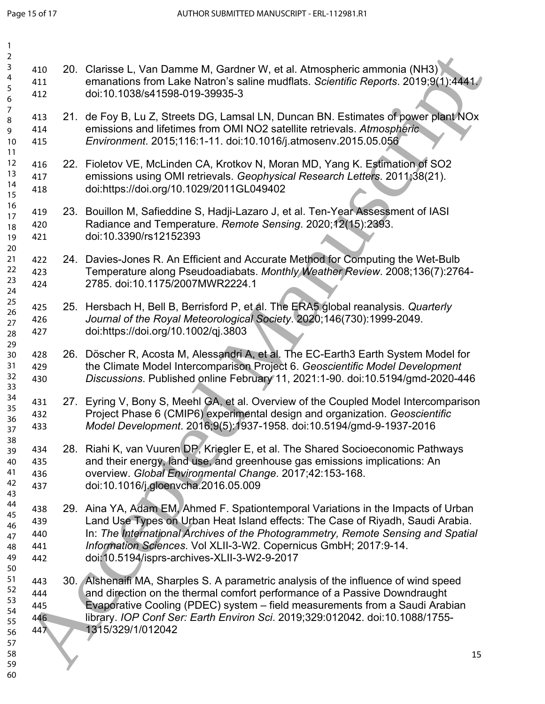| 1                                                                         |                                                                                                                                                                                                                                                                                                                                                                             |
|---------------------------------------------------------------------------|-----------------------------------------------------------------------------------------------------------------------------------------------------------------------------------------------------------------------------------------------------------------------------------------------------------------------------------------------------------------------------|
| $\overline{2}$<br>3<br>410<br>4<br>411<br>5<br>412<br>6                   | 20. Clarisse L, Van Damme M, Gardner W, et al. Atmospheric ammonia (NH3)<br>emanations from Lake Natron's saline mudflats. Scientific Reports. 2019;9(1):4441.<br>doi:10.1038/s41598-019-39935-3                                                                                                                                                                            |
| 7<br>413<br>8<br>414<br>9<br>10<br>415<br>11                              | 21. de Foy B, Lu Z, Streets DG, Lamsal LN, Duncan BN. Estimates of power plant NOx<br>emissions and lifetimes from OMI NO2 satellite retrievals. Atmospheric<br>Environment. 2015;116:1-11. doi:10.1016/j.atmosenv.2015.05.056                                                                                                                                              |
| 12<br>416<br>13<br>417<br>14<br>418<br>15                                 | 22. Fioletov VE, McLinden CA, Krotkov N, Moran MD, Yang K. Estimation of SO2<br>emissions using OMI retrievals. Geophysical Research Letters. 2011;38(21).<br>doi:https://doi.org/10.1029/2011GL049402                                                                                                                                                                      |
| 16<br>419<br>17<br>420<br>18<br>421<br>19                                 | 23. Bouillon M, Safieddine S, Hadji-Lazaro J, et al. Ten-Year Assessment of IASI<br>Radiance and Temperature. Remote Sensing. 2020;12(15):2393.<br>doi:10.3390/rs12152393                                                                                                                                                                                                   |
| 20<br>21<br>422<br>22<br>423<br>23<br>424<br>24                           | 24. Davies-Jones R. An Efficient and Accurate Method for Computing the Wet-Bulb<br>Temperature along Pseudoadiabats. Monthly Weather Review. 2008;136(7):2764-<br>2785. doi:10.1175/2007MWR2224.1                                                                                                                                                                           |
| 25<br>425<br>26<br>426<br>27<br>427<br>28                                 | 25. Hersbach H, Bell B, Berrisford P, et al. The ERA5 global reanalysis. Quarterly<br>Journal of the Royal Meteorological Society. 2020;146(730):1999-2049.<br>doi:https://doi.org/10.1002/qj.3803                                                                                                                                                                          |
| 29<br>428<br>30<br>31<br>429<br>32<br>430<br>33                           | 26. Döscher R, Acosta M, Alessandri A, et al. The EC-Earth3 Earth System Model for<br>the Climate Model Intercomparison Project 6. Geoscientific Model Development<br>Discussions. Published online February 11, 2021:1-90. doi:10.5194/gmd-2020-446                                                                                                                        |
| 34<br>431<br>35<br>432<br>36<br>433<br>37                                 | 27. Eyring V, Bony S, Meehl GA, et al. Overview of the Coupled Model Intercomparison<br>Project Phase 6 (CMIP6) experimental design and organization. Geoscientific<br>Model Development. 2016;9(5):1937-1958. doi:10.5194/gmd-9-1937-2016                                                                                                                                  |
| 38<br>434<br>39<br>40<br>435<br>41<br>436<br>42<br>437<br>43              | 28. Riahi K, van Vuuren DP, Kriegler E, et al. The Shared Socioeconomic Pathways<br>and their energy, land use, and greenhouse gas emissions implications: An<br>overview. Global Environmental Change. 2017;42:153-168.<br>doi:10.1016/j.gloenvcha.2016.05.009                                                                                                             |
| 44<br>438<br>45<br>439<br>46<br>440<br>47<br>441<br>48<br>49<br>442       | 29. Aina YA, Adam EM, Ahmed F. Spationtemporal Variations in the Impacts of Urban<br>Land Use Types on Urban Heat Island effects: The Case of Riyadh, Saudi Arabia.<br>In: The International Archives of the Photogrammetry, Remote Sensing and Spatial<br>Information Sciences. Vol XLII-3-W2. Copernicus GmbH; 2017:9-14.<br>doi: 10.5194/isprs-archives-XLII-3-W2-9-2017 |
| 50<br>51<br>443<br>52<br>444<br>53<br>445<br>54<br>446<br>55<br>447<br>56 | 30. Alshenaifi MA, Sharples S. A parametric analysis of the influence of wind speed<br>and direction on the thermal comfort performance of a Passive Downdraught<br>Evaporative Cooling (PDEC) system - field measurements from a Saudi Arabian<br>library. IOP Conf Ser: Earth Environ Sci. 2019;329:012042. doi:10.1088/1755-<br>1315/329/1/012042                        |
| 57<br>58<br>59<br>60                                                      | 15                                                                                                                                                                                                                                                                                                                                                                          |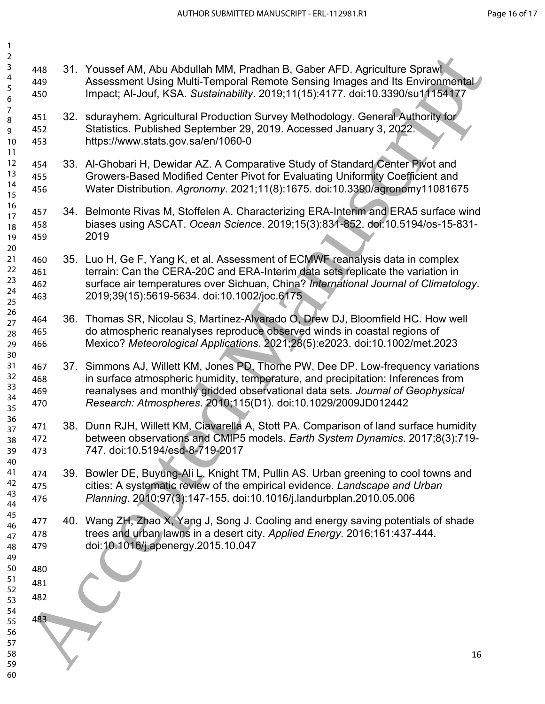| $\overline{a}$   |     |                                                                                                           |
|------------------|-----|-----------------------------------------------------------------------------------------------------------|
| $\mathsf{3}$     | 448 | 31. Youssef AM, Abu Abdullah MM, Pradhan B, Gaber AFD. Agriculture Sprawl                                 |
| 4<br>5           | 449 | Assessment Using Multi-Temporal Remote Sensing Images and Its Environmental                               |
| 6                | 450 | Impact; Al-Jouf, KSA. Sustainability. 2019;11(15):4177. doi:10.3390/su11154177                            |
| $\boldsymbol{7}$ |     |                                                                                                           |
| 8                | 451 | 32. sdurayhem. Agricultural Production Survey Methodology. General Authority for                          |
| 9                | 452 | Statistics. Published September 29, 2019. Accessed January 3, 2022.<br>https://www.stats.gov.sa/en/1060-0 |
| 10<br>11         | 453 |                                                                                                           |
| 12               | 454 | 33. Al-Ghobari H, Dewidar AZ. A Comparative Study of Standard Center Pivot and                            |
| 13               | 455 | Growers-Based Modified Center Pivot for Evaluating Uniformity Coefficient and                             |
| 14               | 456 | Water Distribution. Agronomy. 2021;11(8):1675. doi:10.3390/agronomy11081675                               |
| 15<br>16         |     |                                                                                                           |
| 17               | 457 | 34. Belmonte Rivas M, Stoffelen A. Characterizing ERA-Interim and ERA5 surface wind                       |
| 18               | 458 | biases using ASCAT. Ocean Science. 2019;15(3):831-852. doi:10.5194/os-15-831-                             |
| 19               | 459 | 2019                                                                                                      |
| 20               |     |                                                                                                           |
| 21<br>22         | 460 | 35. Luo H, Ge F, Yang K, et al. Assessment of ECMWF reanalysis data in complex                            |
| 23               | 461 | terrain: Can the CERA-20C and ERA-Interim data sets replicate the variation in                            |
| 24               | 462 | surface air temperatures over Sichuan, China? International Journal of Climatology.                       |
| 25               | 463 | 2019;39(15):5619-5634. doi:10.1002/joc.6175                                                               |
| 26               | 464 | 36. Thomas SR, Nicolau S, Martínez-Alvarado O, Drew DJ, Bloomfield HC. How well                           |
| 27<br>28         | 465 | do atmospheric reanalyses reproduce observed winds in coastal regions of                                  |
| 29               | 466 | Mexico? Meteorological Applications. 2021;28(5):e2023. doi:10.1002/met.2023                               |
| 30               |     |                                                                                                           |
| 31               | 467 | 37. Simmons AJ, Willett KM, Jones PD, Thorne PW, Dee DP. Low-frequency variations                         |
| 32               | 468 | in surface atmospheric humidity, temperature, and precipitation: Inferences from                          |
| 33               | 469 | reanalyses and monthly gridded observational data sets. Journal of Geophysical                            |
| 34<br>35         | 470 | Research: Atmospheres. 2010;115(D1). doi:10.1029/2009JD012442                                             |
| 36               |     |                                                                                                           |
| 37               | 471 | 38. Dunn RJH, Willett KM, Ciavarella A, Stott PA. Comparison of land surface humidity                     |
| 38               | 472 | between observations and CMIP5 models. Earth System Dynamics. 2017;8(3):719-                              |
| 39<br>40         | 473 | 747. doi:10.5194/esd-8-719-2017                                                                           |
| 41               | 474 | 39. Bowler DE, Buyung-Ali L, Knight TM, Pullin AS. Urban greening to cool towns and                       |
| 42               | 475 | cities: A systematic review of the empirical evidence. Landscape and Urban                                |
| 43               | 476 | Planning. 2010;97(3):147-155. doi:10.1016/j.landurbplan.2010.05.006                                       |
| 44               |     |                                                                                                           |
| 45<br>46         | 477 | 40. Wang ZH, Zhao X, Yang J, Song J. Cooling and energy saving potentials of shade                        |
| 47               | 478 | trees and urban lawns in a desert city. Applied Energy. 2016;161:437-444.                                 |
| 48               | 479 | doi:10.1016/j.apenergy.2015.10.047                                                                        |
| 49               |     |                                                                                                           |
| 50               | 480 |                                                                                                           |
| 51<br>52         | 481 |                                                                                                           |
| 53               | 482 |                                                                                                           |
| 54               |     |                                                                                                           |
| 55               | 483 |                                                                                                           |
| 56               |     |                                                                                                           |
| 57<br>58         |     | 16                                                                                                        |
| 59               |     |                                                                                                           |
| 60               |     |                                                                                                           |